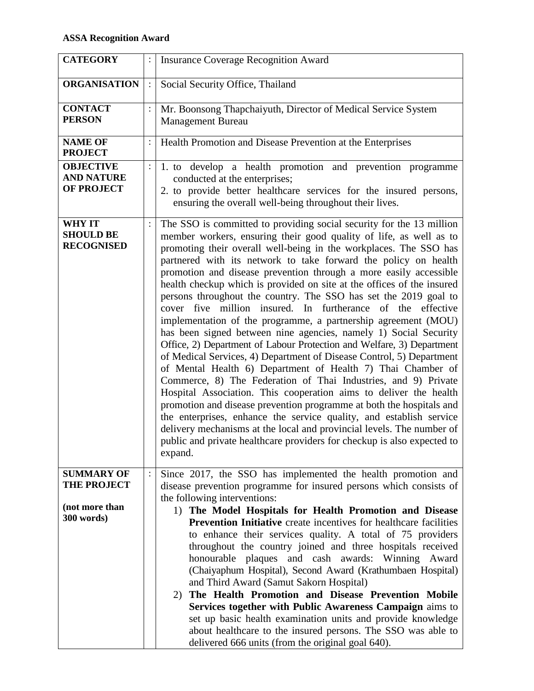| <b>CATEGORY</b>                                            |                | <b>Insurance Coverage Recognition Award</b>                                                                                                                                                                                                                                                                                                                                                                                                                                                                                                                                                                                                                                                                                                                                                                                                                                                                                                                                                                                                                                                                                                                                                                                                                                                                                                                                     |  |  |
|------------------------------------------------------------|----------------|---------------------------------------------------------------------------------------------------------------------------------------------------------------------------------------------------------------------------------------------------------------------------------------------------------------------------------------------------------------------------------------------------------------------------------------------------------------------------------------------------------------------------------------------------------------------------------------------------------------------------------------------------------------------------------------------------------------------------------------------------------------------------------------------------------------------------------------------------------------------------------------------------------------------------------------------------------------------------------------------------------------------------------------------------------------------------------------------------------------------------------------------------------------------------------------------------------------------------------------------------------------------------------------------------------------------------------------------------------------------------------|--|--|
| <b>ORGANISATION</b>                                        |                | Social Security Office, Thailand                                                                                                                                                                                                                                                                                                                                                                                                                                                                                                                                                                                                                                                                                                                                                                                                                                                                                                                                                                                                                                                                                                                                                                                                                                                                                                                                                |  |  |
| <b>CONTACT</b><br><b>PERSON</b>                            | $\ddot{\cdot}$ | Mr. Boonsong Thapchaiyuth, Director of Medical Service System<br><b>Management Bureau</b>                                                                                                                                                                                                                                                                                                                                                                                                                                                                                                                                                                                                                                                                                                                                                                                                                                                                                                                                                                                                                                                                                                                                                                                                                                                                                       |  |  |
| <b>NAME OF</b><br><b>PROJECT</b>                           | $\ddot{\cdot}$ | Health Promotion and Disease Prevention at the Enterprises                                                                                                                                                                                                                                                                                                                                                                                                                                                                                                                                                                                                                                                                                                                                                                                                                                                                                                                                                                                                                                                                                                                                                                                                                                                                                                                      |  |  |
| <b>OBJECTIVE</b><br><b>AND NATURE</b><br><b>OF PROJECT</b> | $\ddot{\cdot}$ | 1. to develop a health promotion and prevention programme<br>conducted at the enterprises;<br>2. to provide better healthcare services for the insured persons,<br>ensuring the overall well-being throughout their lives.                                                                                                                                                                                                                                                                                                                                                                                                                                                                                                                                                                                                                                                                                                                                                                                                                                                                                                                                                                                                                                                                                                                                                      |  |  |
| <b>WHY IT</b><br><b>SHOULD BE</b><br><b>RECOGNISED</b>     | $\ddot{\cdot}$ | The SSO is committed to providing social security for the 13 million<br>member workers, ensuring their good quality of life, as well as to<br>promoting their overall well-being in the workplaces. The SSO has<br>partnered with its network to take forward the policy on health<br>promotion and disease prevention through a more easily accessible<br>health checkup which is provided on site at the offices of the insured<br>persons throughout the country. The SSO has set the 2019 goal to<br>cover five million insured. In furtherance of the effective<br>implementation of the programme, a partnership agreement (MOU)<br>has been signed between nine agencies, namely 1) Social Security<br>Office, 2) Department of Labour Protection and Welfare, 3) Department<br>of Medical Services, 4) Department of Disease Control, 5) Department<br>of Mental Health 6) Department of Health 7) Thai Chamber of<br>Commerce, 8) The Federation of Thai Industries, and 9) Private<br>Hospital Association. This cooperation aims to deliver the health<br>promotion and disease prevention programme at both the hospitals and<br>the enterprises, enhance the service quality, and establish service<br>delivery mechanisms at the local and provincial levels. The number of<br>public and private healthcare providers for checkup is also expected to<br>expand. |  |  |
| <b>SUMMARY OF</b><br><b>THE PROJECT</b>                    |                | Since 2017, the SSO has implemented the health promotion and<br>disease prevention programme for insured persons which consists of<br>the following interventions:                                                                                                                                                                                                                                                                                                                                                                                                                                                                                                                                                                                                                                                                                                                                                                                                                                                                                                                                                                                                                                                                                                                                                                                                              |  |  |
| (not more than<br>300 words)                               |                | 1) The Model Hospitals for Health Promotion and Disease<br><b>Prevention Initiative</b> create incentives for healthcare facilities<br>to enhance their services quality. A total of 75 providers<br>throughout the country joined and three hospitals received<br>plaques and cash awards: Winning Award<br>honourable<br>(Chaiyaphum Hospital), Second Award (Krathumbaen Hospital)<br>and Third Award (Samut Sakorn Hospital)<br>The Health Promotion and Disease Prevention Mobile<br>2)<br>Services together with Public Awareness Campaign aims to<br>set up basic health examination units and provide knowledge<br>about healthcare to the insured persons. The SSO was able to<br>delivered 666 units (from the original goal 640).                                                                                                                                                                                                                                                                                                                                                                                                                                                                                                                                                                                                                                    |  |  |